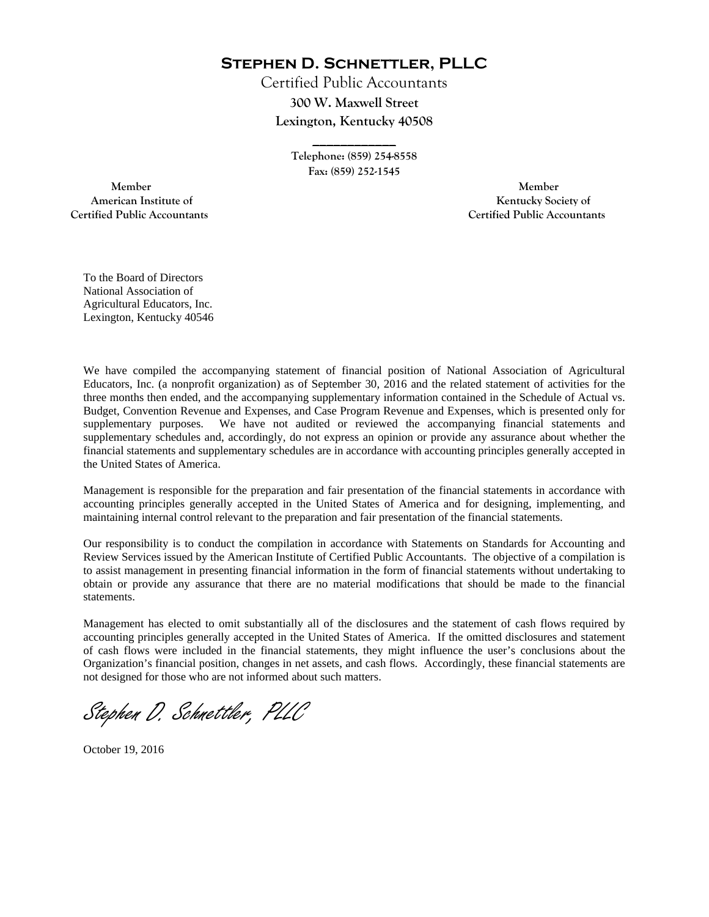**Stephen D. Schnettler, PLLC**

Certified Public Accountants **300 W. Maxwell Street Lexington, Kentucky 40508** 

> **Telephone: (859) 254-8558 Fax: (859) 252-1545**

**\_\_\_\_\_\_\_\_\_\_\_\_** 

 **Member Member Certified Public Accountants Certified Public Accountants** 

American Institute of **Kentucky Society of** 

To the Board of Directors National Association of Agricultural Educators, Inc. Lexington, Kentucky 40546

We have compiled the accompanying statement of financial position of National Association of Agricultural Educators, Inc. (a nonprofit organization) as of September 30, 2016 and the related statement of activities for the three months then ended, and the accompanying supplementary information contained in the Schedule of Actual vs. Budget, Convention Revenue and Expenses, and Case Program Revenue and Expenses, which is presented only for supplementary purposes. We have not audited or reviewed the accompanying financial statements and supplementary schedules and, accordingly, do not express an opinion or provide any assurance about whether the financial statements and supplementary schedules are in accordance with accounting principles generally accepted in the United States of America.

Management is responsible for the preparation and fair presentation of the financial statements in accordance with accounting principles generally accepted in the United States of America and for designing, implementing, and maintaining internal control relevant to the preparation and fair presentation of the financial statements.

Our responsibility is to conduct the compilation in accordance with Statements on Standards for Accounting and Review Services issued by the American Institute of Certified Public Accountants. The objective of a compilation is to assist management in presenting financial information in the form of financial statements without undertaking to obtain or provide any assurance that there are no material modifications that should be made to the financial statements.

Management has elected to omit substantially all of the disclosures and the statement of cash flows required by accounting principles generally accepted in the United States of America. If the omitted disclosures and statement of cash flows were included in the financial statements, they might influence the user's conclusions about the Organization's financial position, changes in net assets, and cash flows. Accordingly, these financial statements are not designed for those who are not informed about such matters.

Stephen D. Schnettler, PLLC

October 19, 2016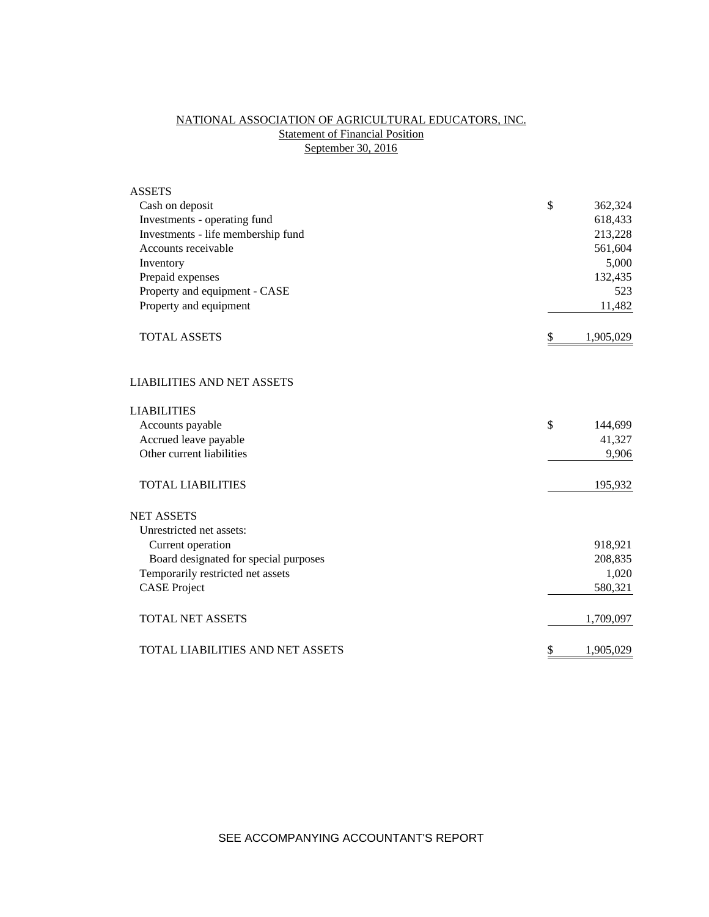# NATIONAL ASSOCIATION OF AGRICULTURAL EDUCATORS, INC. **Statement of Financial Position** September 30, 2016

| <b>ASSETS</b>                           |               |           |
|-----------------------------------------|---------------|-----------|
| Cash on deposit                         | \$            | 362,324   |
| Investments - operating fund            |               | 618,433   |
| Investments - life membership fund      |               | 213,228   |
| Accounts receivable                     |               | 561,604   |
| Inventory                               |               | 5,000     |
| Prepaid expenses                        |               | 132,435   |
| Property and equipment - CASE           |               | 523       |
| Property and equipment                  |               | 11,482    |
| <b>TOTAL ASSETS</b>                     | \$            | 1,905,029 |
| <b>LIABILITIES AND NET ASSETS</b>       |               |           |
| <b>LIABILITIES</b>                      |               |           |
| Accounts payable                        | $\mathcal{S}$ | 144,699   |
| Accrued leave payable                   |               | 41,327    |
| Other current liabilities               |               | 9,906     |
| <b>TOTAL LIABILITIES</b>                |               | 195,932   |
| <b>NET ASSETS</b>                       |               |           |
| Unrestricted net assets:                |               |           |
| Current operation                       |               | 918,921   |
| Board designated for special purposes   |               | 208,835   |
| Temporarily restricted net assets       |               | 1,020     |
| <b>CASE Project</b>                     |               | 580,321   |
| <b>TOTAL NET ASSETS</b>                 |               | 1,709,097 |
| <b>TOTAL LIABILITIES AND NET ASSETS</b> | \$            | 1,905,029 |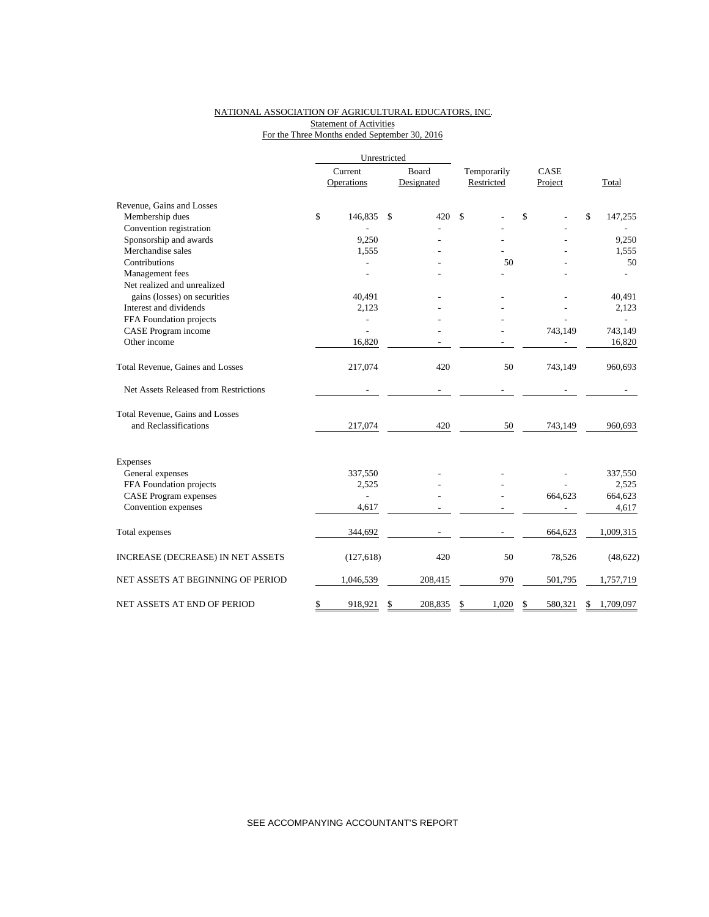### NATIONAL ASSOCIATION OF AGRICULTURAL EDUCATORS, INC. **Statement of Activities** For the Three Months ended September 30, 2016

|                                       |                       | Unrestricted  |                     |                           |    |                 |    |           |
|---------------------------------------|-----------------------|---------------|---------------------|---------------------------|----|-----------------|----|-----------|
|                                       | Current<br>Operations |               | Board<br>Designated | Temporarily<br>Restricted |    | CASE<br>Project |    | Total     |
| Revenue, Gains and Losses             |                       |               |                     |                           |    |                 |    |           |
| Membership dues                       | \$<br>146,835         | <sup>\$</sup> | 420                 | \$                        | \$ |                 | \$ | 147,255   |
| Convention registration               |                       |               |                     |                           |    |                 |    |           |
| Sponsorship and awards                | 9,250                 |               |                     |                           |    |                 |    | 9,250     |
| Merchandise sales                     | 1,555                 |               |                     |                           |    |                 |    | 1,555     |
| Contributions                         |                       |               |                     | 50                        |    |                 |    | 50        |
| Management fees                       |                       |               |                     |                           |    |                 |    |           |
| Net realized and unrealized           |                       |               |                     |                           |    |                 |    |           |
| gains (losses) on securities          | 40,491                |               |                     |                           |    |                 |    | 40,491    |
| Interest and dividends                | 2,123                 |               |                     |                           |    |                 |    | 2,123     |
| FFA Foundation projects               |                       |               |                     |                           |    |                 |    |           |
| CASE Program income                   |                       |               |                     |                           |    | 743,149         |    | 743,149   |
| Other income                          | 16,820                |               |                     |                           |    |                 |    | 16,820    |
| Total Revenue, Gaines and Losses      | 217,074               |               | 420                 | 50                        |    | 743,149         |    | 960,693   |
| Net Assets Released from Restrictions |                       |               |                     |                           |    |                 |    |           |
| Total Revenue, Gains and Losses       |                       |               |                     |                           |    |                 |    |           |
| and Reclassifications                 | 217,074               |               | 420                 | 50                        |    | 743,149         |    | 960,693   |
| Expenses                              |                       |               |                     |                           |    |                 |    |           |
| General expenses                      | 337,550               |               |                     |                           |    |                 |    | 337,550   |
| FFA Foundation projects               | 2,525                 |               |                     |                           |    |                 |    | 2,525     |
| <b>CASE</b> Program expenses          | $\overline{a}$        |               |                     |                           |    | 664,623         |    | 664,623   |
| Convention expenses                   | 4,617                 |               |                     |                           |    |                 |    | 4,617     |
| Total expenses                        | 344,692               |               |                     |                           |    | 664,623         |    | 1,009,315 |
| INCREASE (DECREASE) IN NET ASSETS     | (127, 618)            |               | 420                 | 50                        |    | 78,526          |    | (48, 622) |
| NET ASSETS AT BEGINNING OF PERIOD     | 1,046,539             |               | 208,415             | 970                       |    | 501,795         |    | 1,757,719 |
| NET ASSETS AT END OF PERIOD           | \$<br>918,921         | \$            | 208,835             | \$<br>1,020               | \$ | 580,321         | \$ | 1,709,097 |

SEE ACCOMPANYING ACCOUNTANT'S REPORT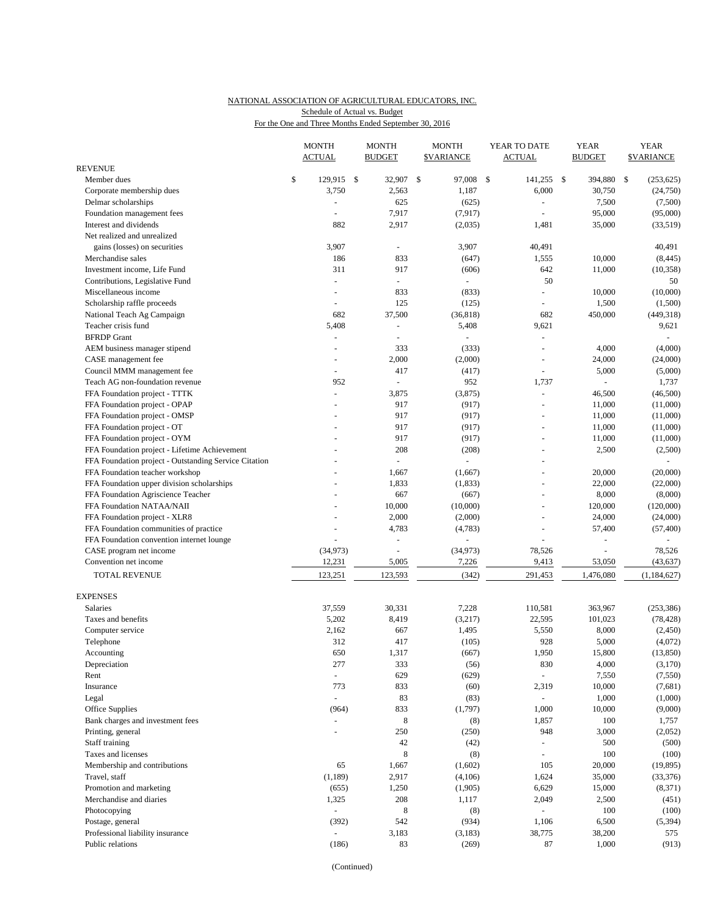# NATIONAL ASSOCIATION OF AGRICULTURAL EDUCATORS, INC. Schedule of Actual vs. Budget

For the One and Three Months Ended September 30, 2016

|                                                       |    | <b>MONTH</b><br><b>ACTUAL</b> |  | <b>MONTH</b><br><b>BUDGET</b> |               | <b>MONTH</b><br><b>\$VARIANCE</b> | YEAR TO DATE<br><b>ACTUAL</b> | <b>YEAR</b><br><b>BUDGET</b> | <b>YEAR</b><br><b>\$VARIANCE</b> |                          |
|-------------------------------------------------------|----|-------------------------------|--|-------------------------------|---------------|-----------------------------------|-------------------------------|------------------------------|----------------------------------|--------------------------|
| <b>REVENUE</b>                                        |    |                               |  |                               |               |                                   |                               |                              |                                  |                          |
| Member dues                                           | \$ | 129,915 \$                    |  | 32,907                        | $\mathcal{S}$ | 97,008 \$                         | 141,255 \$                    | 394,880 \$                   |                                  | (253, 625)               |
| Corporate membership dues                             |    | 3,750                         |  | 2,563                         |               | 1,187                             | 6,000                         | 30,750                       |                                  | (24,750)                 |
| Delmar scholarships                                   |    | $\overline{\phantom{a}}$      |  | 625                           |               | (625)                             | $\bar{\phantom{a}}$           | 7,500                        |                                  | (7,500)                  |
| Foundation management fees                            |    | $\sim$                        |  | 7,917                         |               | (7, 917)                          |                               | 95,000                       |                                  | (95,000)                 |
| Interest and dividends                                |    | 882                           |  | 2,917                         |               | (2,035)                           | 1,481                         | 35,000                       |                                  | (33,519)                 |
| Net realized and unrealized                           |    |                               |  |                               |               |                                   |                               |                              |                                  |                          |
| gains (losses) on securities                          |    | 3,907                         |  | ÷,                            |               | 3,907                             | 40,491                        |                              |                                  | 40,491                   |
| Merchandise sales                                     |    | 186                           |  | 833                           |               | (647)                             | 1,555                         | 10,000                       |                                  | (8, 445)                 |
| Investment income. Life Fund                          |    | 311                           |  | 917                           |               | (606)                             | 642                           | 11,000                       |                                  | (10, 358)                |
| Contributions, Legislative Fund                       |    | $\overline{\phantom{a}}$      |  | $\omega$                      |               | $\sim$                            | 50                            |                              |                                  | 50                       |
| Miscellaneous income                                  |    | $\overline{\phantom{a}}$      |  | 833                           |               | (833)                             |                               | 10,000                       |                                  | (10,000)                 |
| Scholarship raffle proceeds                           |    | $\overline{\phantom{a}}$      |  | 125                           |               | (125)                             | ÷,                            | 1,500                        |                                  | (1,500)                  |
| National Teach Ag Campaign                            |    | 682                           |  | 37,500                        |               | (36, 818)                         | 682                           | 450,000                      |                                  | (449, 318)               |
| Teacher crisis fund                                   |    | 5,408                         |  | $\blacksquare$                |               | 5,408                             | 9,621                         |                              |                                  | 9,621                    |
| <b>BFRDP</b> Grant                                    |    | $\overline{\phantom{a}}$      |  | ÷,                            |               |                                   | ÷,                            |                              |                                  |                          |
| AEM business manager stipend                          |    |                               |  | 333                           |               | (333)                             | ÷,                            | 4,000                        |                                  | (4,000)                  |
| CASE management fee                                   |    |                               |  | 2,000                         |               | (2,000)                           | ÷,                            | 24,000                       |                                  | (24,000)                 |
| Council MMM management fee                            |    | $\overline{\phantom{a}}$      |  | 417                           |               | (417)                             | ÷,                            | 5,000                        |                                  | (5,000)                  |
| Teach AG non-foundation revenue                       |    | 952                           |  | L.                            |               | 952                               | 1,737                         |                              |                                  | 1,737                    |
| FFA Foundation project - TTTK                         |    | L.                            |  | 3,875                         |               | (3,875)                           | $\overline{\phantom{a}}$      | 46,500                       |                                  | (46,500)                 |
| FFA Foundation project - OPAP                         |    |                               |  | 917                           |               | (917)                             | $\overline{a}$                | 11,000                       |                                  | (11,000)                 |
| FFA Foundation project - OMSP                         |    |                               |  | 917                           |               | (917)                             | $\overline{a}$                | 11,000                       |                                  | (11,000)                 |
| FFA Foundation project - OT                           |    |                               |  | 917                           |               | (917)                             |                               | 11,000                       |                                  | (11,000)                 |
| FFA Foundation project - OYM                          |    |                               |  | 917                           |               | (917)                             | ÷,                            | 11,000                       |                                  | (11,000)                 |
| FFA Foundation project - Lifetime Achievement         |    |                               |  | 208                           |               | (208)                             |                               | 2,500                        |                                  | (2,500)                  |
| FFA Foundation project - Outstanding Service Citation |    |                               |  | ÷,                            |               |                                   | $\overline{a}$                |                              |                                  | $\overline{\phantom{a}}$ |
| FFA Foundation teacher workshop                       |    |                               |  | 1,667                         |               | (1,667)                           |                               | 20,000                       |                                  | (20,000)                 |
| FFA Foundation upper division scholarships            |    |                               |  | 1,833                         |               | (1, 833)                          | $\overline{a}$                | 22,000                       |                                  | (22,000)                 |
| FFA Foundation Agriscience Teacher                    |    |                               |  | 667                           |               | (667)                             |                               | 8,000                        |                                  | (8,000)                  |
| FFA Foundation NATAA/NAII                             |    |                               |  | 10,000                        |               | (10,000)                          | $\overline{a}$                | 120,000                      |                                  | (120,000)                |
| FFA Foundation project - XLR8                         |    |                               |  | 2,000                         |               | (2,000)                           |                               | 24,000                       |                                  | (24,000)                 |
| FFA Foundation communities of practice                |    |                               |  | 4,783                         |               | (4,783)                           | $\overline{a}$                | 57,400                       |                                  | (57, 400)                |
| FFA Foundation convention internet lounge             |    |                               |  | $\blacksquare$                |               |                                   |                               | $\overline{\phantom{a}}$     |                                  |                          |
| CASE program net income                               |    | (34, 973)                     |  | ÷,                            |               | (34, 973)                         | 78,526                        |                              |                                  | 78,526                   |
| Convention net income                                 |    | 12,231                        |  | 5,005                         |               | 7,226                             | 9,413                         | 53,050                       |                                  | (43, 637)                |
| <b>TOTAL REVENUE</b>                                  |    | 123,251                       |  | 123,593                       |               | (342)                             | 291,453                       | 1,476,080                    |                                  | (1, 184, 627)            |
| <b>EXPENSES</b>                                       |    |                               |  |                               |               |                                   |                               |                              |                                  |                          |
| Salaries                                              |    | 37,559                        |  | 30,331                        |               | 7,228                             | 110,581                       | 363,967                      |                                  | (253, 386)               |
| Taxes and benefits                                    |    | 5,202                         |  | 8,419                         |               | (3,217)                           | 22,595                        | 101,023                      |                                  | (78, 428)                |
| Computer service                                      |    | 2,162                         |  | 667                           |               | 1,495                             | 5,550                         | 8,000                        |                                  | (2,450)                  |
| Telephone                                             |    | 312                           |  | 417                           |               | (105)                             | 928                           | 5,000                        |                                  | (4,072)                  |
| Accounting                                            |    | 650                           |  | 1,317                         |               | (667)                             | 1,950                         | 15,800                       |                                  | (13, 850)                |
| Depreciation                                          |    | 277                           |  | 333                           |               | (56)                              | 830                           | 4,000                        |                                  | (3,170)                  |
| Rent                                                  |    | $\blacksquare$                |  | 629                           |               | (629)                             | $\omega$                      | 7,550                        |                                  | (7, 550)                 |
| Insurance                                             |    | 773                           |  | 833                           |               | (60)                              | 2,319                         | 10,000                       |                                  | (7,681)                  |
| Legal                                                 |    | $\overline{\phantom{a}}$      |  | 83                            |               | (83)                              | $\sim$                        | 1,000                        |                                  | (1,000)                  |
| Office Supplies                                       |    | (964)                         |  | 833                           |               | (1,797)                           | 1,000                         | 10,000                       |                                  | (9,000)                  |
|                                                       |    | ÷,                            |  | 8                             |               |                                   | 1,857                         | 100                          |                                  |                          |
| Bank charges and investment fees                      |    | $\sim$                        |  |                               |               | (8)                               | 948                           | 3,000                        |                                  | 1,757                    |
| Printing, general                                     |    |                               |  | 250                           |               | (250)                             |                               |                              |                                  | (2,052)                  |
| Staff training                                        |    |                               |  | 42                            |               | (42)                              | $\overline{a}$                | 500                          |                                  | (500)                    |
| Taxes and licenses                                    |    |                               |  | 8                             |               | (8)                               | ÷,                            | 100                          |                                  | (100)                    |
| Membership and contributions                          |    | 65                            |  | 1,667                         |               | (1,602)                           | 105                           | 20,000                       |                                  | (19, 895)                |
| Travel, staff                                         |    | (1, 189)                      |  | 2,917                         |               | (4,106)                           | 1,624                         | 35,000                       |                                  | (33, 376)                |
| Promotion and marketing                               |    | (655)                         |  | 1,250                         |               | (1,905)                           | 6,629                         | 15,000                       |                                  | (8,371)                  |
| Merchandise and diaries                               |    | 1,325                         |  | 208                           |               | 1,117                             | 2,049                         | 2,500                        |                                  | (451)                    |
| Photocopying                                          |    | L.                            |  | 8                             |               | (8)                               | $\equiv$                      | 100                          |                                  | (100)                    |
| Postage, general                                      |    | (392)                         |  | 542                           |               | (934)                             | 1,106                         | 6,500                        |                                  | (5, 394)                 |
| Professional liability insurance                      |    | $\blacksquare$                |  | 3,183                         |               | (3,183)                           | 38,775                        | 38,200                       |                                  | 575                      |
| Public relations                                      |    | (186)                         |  | 83                            |               | (269)                             | 87                            | 1,000                        |                                  | (913)                    |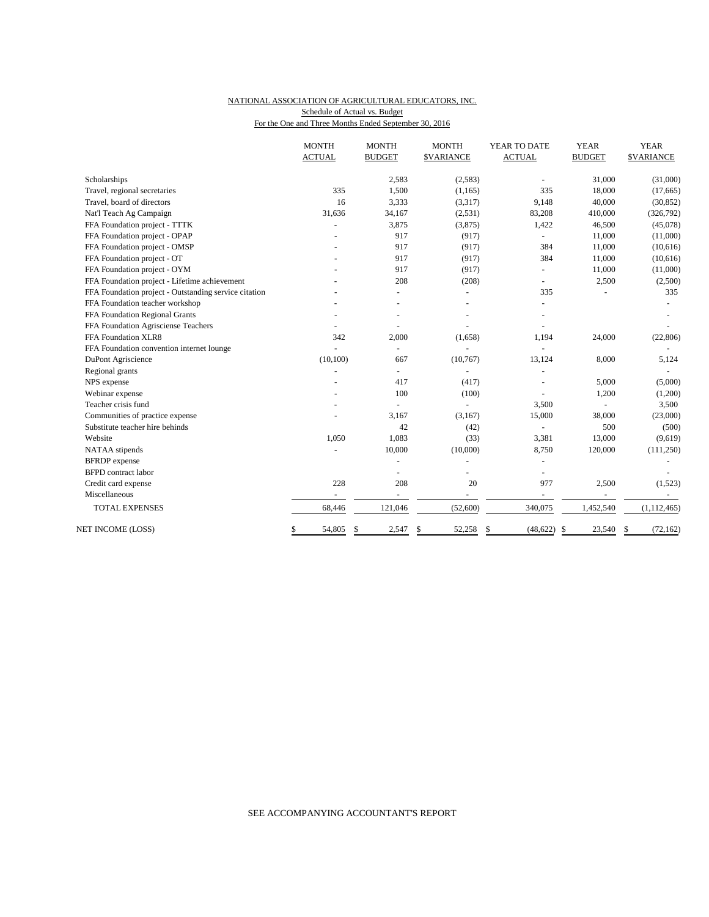## NATIONAL ASSOCIATION OF AGRICULTURAL EDUCATORS, INC. For the One and Three Months Ended September 30, 2016 Schedule of Actual vs. Budget

| Scholarships                                          | <b>ACTUAL</b><br>335 | <b>BUDGET</b><br>2,583   | <b>\$VARIANCE</b><br>(2,583) | <b>ACTUAL</b>   | <b>BUDGET</b>            | <b>\$VARIANCE</b> |
|-------------------------------------------------------|----------------------|--------------------------|------------------------------|-----------------|--------------------------|-------------------|
|                                                       |                      |                          |                              |                 |                          |                   |
|                                                       |                      |                          |                              |                 | 31,000                   | (31,000)          |
| Travel, regional secretaries                          |                      | 1,500                    | (1, 165)                     | 335             | 18,000                   | (17,665)          |
| Travel, board of directors                            | 16                   | 3,333                    | (3,317)                      | 9,148           | 40,000                   | (30, 852)         |
| Nat'l Teach Ag Campaign                               | 31,636               | 34,167                   | (2,531)                      | 83,208          | 410,000                  | (326,792)         |
| FFA Foundation project - TTTK                         |                      | 3,875                    | (3,875)                      | 1,422           | 46,500                   | (45,078)          |
| FFA Foundation project - OPAP                         |                      | 917                      | (917)                        |                 | 11,000                   | (11,000)          |
| FFA Foundation project - OMSP                         |                      | 917                      | (917)                        | 384             | 11,000                   | (10,616)          |
| FFA Foundation project - OT                           |                      | 917                      | (917)                        | 384             | 11,000                   | (10,616)          |
| FFA Foundation project - OYM                          |                      | 917                      | (917)                        |                 | 11,000                   | (11,000)          |
| FFA Foundation project - Lifetime achievement         |                      | 208                      | (208)                        |                 | 2,500                    | (2,500)           |
| FFA Foundation project - Outstanding service citation |                      |                          | ä,                           | 335             |                          | 335               |
| FFA Foundation teacher workshop                       |                      |                          |                              |                 |                          |                   |
| FFA Foundation Regional Grants                        |                      |                          |                              |                 |                          |                   |
| FFA Foundation Agrisciense Teachers                   |                      |                          |                              |                 |                          |                   |
| FFA Foundation XLR8                                   | 342                  | 2,000                    | (1,658)                      | 1,194           | 24,000                   | (22, 806)         |
| FFA Foundation convention internet lounge             |                      | $\sim$                   |                              |                 |                          |                   |
| DuPont Agriscience                                    | (10, 100)            | 667                      | (10, 767)                    | 13,124          | 8,000                    | 5,124             |
| Regional grants                                       |                      | $\overline{\phantom{a}}$ |                              |                 |                          |                   |
| NPS expense                                           |                      | 417                      | (417)                        |                 | 5,000                    | (5,000)           |
| Webinar expense                                       |                      | 100                      | (100)                        |                 | 1,200                    | (1,200)           |
| Teacher crisis fund                                   |                      |                          |                              | 3,500           |                          | 3,500             |
| Communities of practice expense                       |                      | 3,167                    | (3,167)                      | 15,000          | 38,000                   | (23,000)          |
| Substitute teacher hire behinds                       |                      | 42                       | (42)                         |                 | 500                      | (500)             |
| Website                                               | 1,050                | 1,083                    | (33)                         | 3,381           | 13,000                   | (9,619)           |
| NATAA stipends                                        |                      | 10,000                   | (10,000)                     | 8,750           | 120,000                  | (111,250)         |
| <b>BFRDP</b> expense                                  |                      |                          |                              |                 |                          |                   |
| <b>BFPD</b> contract labor                            |                      |                          |                              |                 |                          |                   |
| Credit card expense                                   | 228                  | 208                      | 20                           | 977             | 2,500                    | (1,523)           |
| Miscellaneous                                         |                      |                          | $\equiv$                     | ÷,              | $\overline{\phantom{a}}$ |                   |
| <b>TOTAL EXPENSES</b>                                 | 68,446               | 121,046                  | (52,600)                     | 340,075         | 1,452,540                | (1, 112, 465)     |
| NET INCOME (LOSS)                                     | 54,805<br>\$         | \$<br>2,547              | \$<br>52,258                 | \$<br>(48, 622) | \$<br>23,540             | (72, 162)<br>\$   |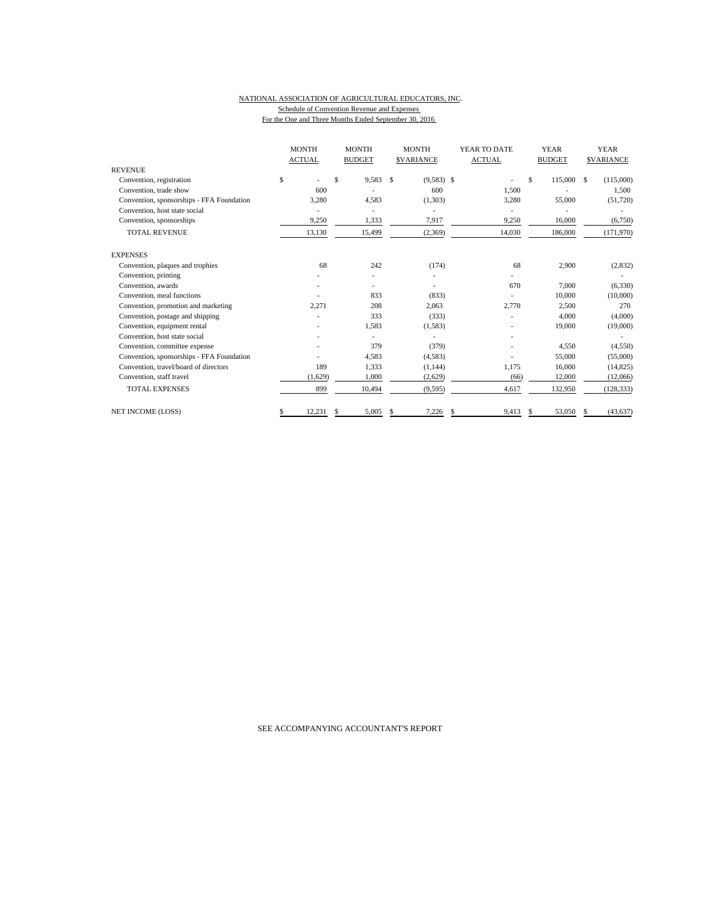### NATIONAL ASSOCIATION OF AGRICULTURAL EDUCATORS, INC. Schedule of Convention Revenue and Expenses For the One and Three Months Ended September 30, 2016

|                                           | <b>MONTH</b><br><b>ACTUAL</b> |         |    | <b>MONTH</b><br><b>BUDGET</b> |   | <b>MONTH</b><br><b>SVARIANCE</b> |    | YEAR TO DATE<br><b>ACTUAL</b> |    | <b>YEAR</b><br><b>BUDGET</b> | <b>YEAR</b><br><b>SVARIANCE</b> |            |
|-------------------------------------------|-------------------------------|---------|----|-------------------------------|---|----------------------------------|----|-------------------------------|----|------------------------------|---------------------------------|------------|
| <b>REVENUE</b>                            |                               |         |    |                               |   |                                  |    |                               |    |                              |                                 |            |
| Convention, registration                  | \$                            |         | \$ | 9,583                         | S | $(9,583)$ \$                     |    |                               | \$ | 115,000 \$                   |                                 | (115,000)  |
| Convention, trade show                    |                               | 600     |    |                               |   | 600                              |    | 1,500                         |    |                              |                                 | 1,500      |
| Convention, sponsorships - FFA Foundation |                               | 3,280   |    | 4,583                         |   | (1,303)                          |    | 3,280                         |    | 55,000                       |                                 | (51,720)   |
| Convention, host state social             |                               |         |    |                               |   |                                  |    |                               |    |                              |                                 |            |
| Convention, sponsorships                  |                               | 9,250   |    | 1,333                         |   | 7,917                            |    | 9,250                         |    | 16,000                       |                                 | (6,750)    |
| <b>TOTAL REVENUE</b>                      |                               | 13,130  |    | 15,499                        |   | (2,369)                          |    | 14,030                        |    | 186,000                      |                                 | (171,970)  |
| <b>EXPENSES</b>                           |                               |         |    |                               |   |                                  |    |                               |    |                              |                                 |            |
| Convention, plaques and trophies          |                               | 68      |    | 242                           |   | (174)                            |    | 68                            |    | 2,900                        |                                 | (2,832)    |
| Convention, printing                      |                               |         |    |                               |   |                                  |    |                               |    |                              |                                 |            |
| Convention, awards                        |                               |         |    |                               |   | ÷,                               |    | 670                           |    | 7,000                        |                                 | (6, 330)   |
| Convention, meal functions                |                               |         |    | 833                           |   | (833)                            |    |                               |    | 10,000                       |                                 | (10,000)   |
| Convention, promotion and marketing       |                               | 2,271   |    | 208                           |   | 2,063                            |    | 2,770                         |    | 2,500                        |                                 | 270        |
| Convention, postage and shipping          |                               |         |    | 333                           |   | (333)                            |    |                               |    | 4,000                        |                                 | (4,000)    |
| Convention, equipment rental              |                               |         |    | 1,583                         |   | (1,583)                          |    |                               |    | 19,000                       |                                 | (19,000)   |
| Convention, host state social             |                               |         |    |                               |   |                                  |    |                               |    |                              |                                 |            |
| Convention, committee expense             |                               |         |    | 379                           |   | (379)                            |    |                               |    | 4,550                        |                                 | (4,550)    |
| Convention, sponsorships - FFA Foundation |                               |         |    | 4,583                         |   | (4,583)                          |    |                               |    | 55,000                       |                                 | (55,000)   |
| Convention, travel/board of directors     |                               | 189     |    | 1,333                         |   | (1,144)                          |    | 1,175                         |    | 16,000                       |                                 | (14, 825)  |
| Convention, staff travel                  |                               | (1,629) |    | 1,000                         |   | (2,629)                          |    | (66)                          |    | 12,000                       |                                 | (12,066)   |
| <b>TOTAL EXPENSES</b>                     |                               | 899     |    | 10,494                        |   | (9, 595)                         |    | 4,617                         |    | 132,950                      |                                 | (128, 333) |
| NET INCOME (LOSS)                         |                               | 12.231  | S  | 5,005                         | S | 7,226                            | \$ | 9,413                         |    | 53,050                       |                                 | (43, 637)  |

SEE ACCOMPANYING ACCOUNTANT'S REPORT